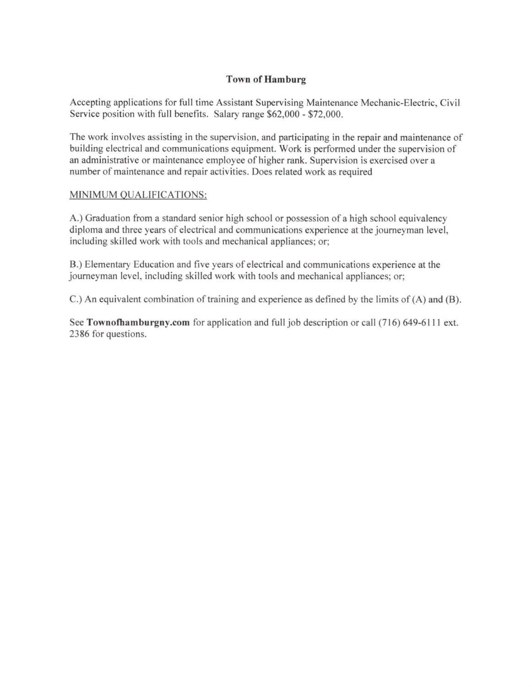# Town of Hamburg

Accepting applications for full time Assistant Supervising Maintenance Mechanic-Electric, Civil Service position with full benefits. Salary range \$62,000 - \$72,000.

The work involves assisting in the supervision, and participating in the repair and maintenance of building elecrical and communications equipment. Work is performed under the supervision of an administrative or maintenance employee of higher rank. Supervision is exercised over a number of maintenance and repair activities. Does related work as required

## MINIMUM QUALIFICATIONS:

A.) Graduation from a standard senior high school or possession of a high school equivalency diploma and three years of electrical and communications experience at the journeyman level, including skilled work with tools and mechanical appliances; or;

B.) Elementary Education and five years of electrical and communications experience at the joumeyman level, including skilled work with tools and mechanical appliances; or;

C.) An equivalent combination of training and experience as defined by the limits of (A) and (B).

See Townofhamburgny.com for application and full job description or call (716) 649-6111 ext. 2386 for questions.